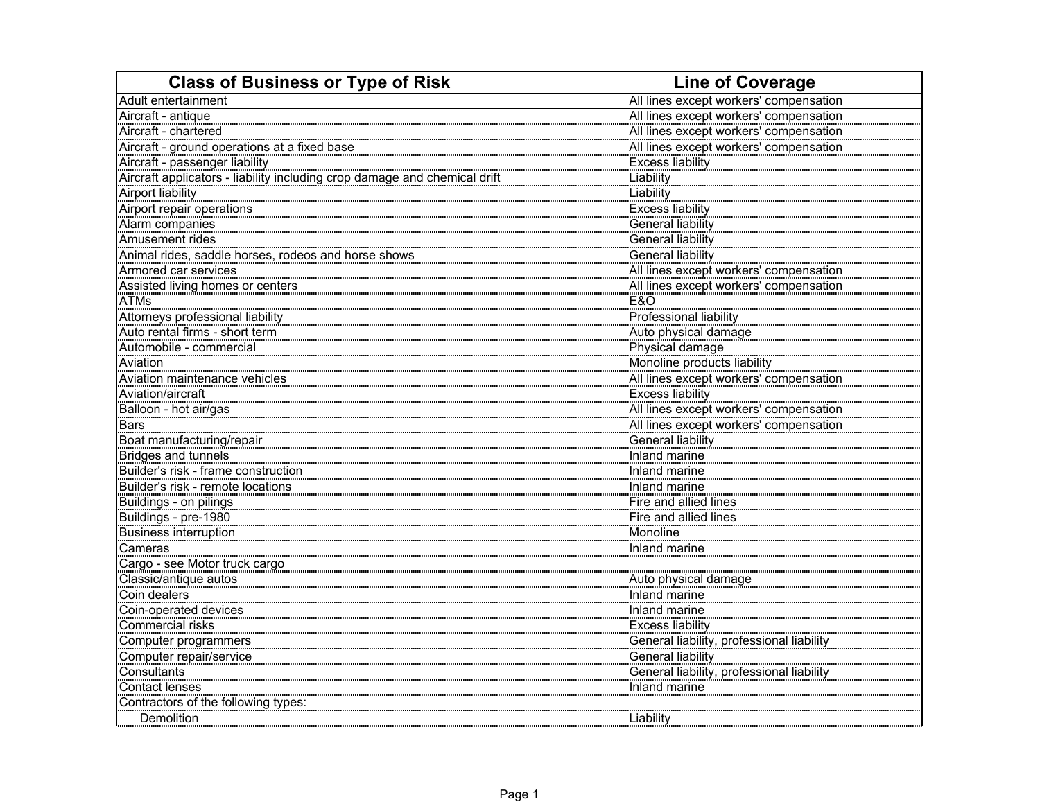| <b>Class of Business or Type of Risk</b>                                  | <b>Line of Coverage</b>                   |
|---------------------------------------------------------------------------|-------------------------------------------|
| Adult entertainment                                                       | All lines except workers' compensation    |
| Aircraft - antique                                                        | All lines except workers' compensation    |
| Aircraft - chartered                                                      | All lines except workers' compensation    |
| Aircraft - ground operations at a fixed base                              | All lines except workers' compensation    |
| Aircraft - passenger liability                                            | <b>Excess liability</b>                   |
| Aircraft applicators - liability including crop damage and chemical drift | Liability                                 |
| <b>Airport liability</b>                                                  | Liability                                 |
| Airport repair operations                                                 | <b>Excess liability</b>                   |
| Alarm companies                                                           | General liability                         |
| Amusement rides                                                           | <b>General liability</b>                  |
| Animal rides, saddle horses, rodeos and horse shows                       | <b>General liability</b>                  |
| Armored car services                                                      | All lines except workers' compensation    |
| Assisted living homes or centers                                          | All lines except workers' compensation    |
| ATMs                                                                      |                                           |
| Attorneys professional liability                                          | E&O<br>Professional liability             |
| Auto rental firms - short term                                            | Auto physical damage                      |
| Automobile - commercial                                                   | Physical damage                           |
| Aviation                                                                  | Monoline products liability               |
| Aviation maintenance vehicles                                             | All lines except workers' compensation    |
| Aviation/aircraft                                                         | Excess liability                          |
| Balloon - hot air/gas                                                     | All lines except workers' compensation    |
| <b>Bars</b>                                                               | All lines except workers' compensation    |
| Boat manufacturing/repair                                                 | General liability                         |
| Bridges and tunnels                                                       | Inland marine                             |
| Builder's risk - frame construction                                       | Inland marine                             |
| Builder's risk - remote locations                                         | Inland marine                             |
| Buildings - on pilings                                                    | Fire and allied lines                     |
| Buildings - pre-1980                                                      | Fire and allied lines                     |
| <b>Business interruption</b>                                              | Monoline                                  |
| Cameras                                                                   | Inland marine                             |
| Cargo - see Motor truck cargo                                             |                                           |
| Classic/antique autos                                                     | Auto physical damage                      |
| Coin dealers                                                              | Inland marine                             |
| Coin-operated devices                                                     | Inland marine                             |
| Commercial risks                                                          | <b>Excess liability</b>                   |
| Computer programmers                                                      | Excess hability, professional liability   |
| Computer repair/service                                                   | General liability                         |
| Consultants                                                               | General liability, professional liability |
| <b>Contact lenses</b>                                                     | Inland marine                             |
| Contractors of the following types:                                       |                                           |
| Demolition                                                                | Liability                                 |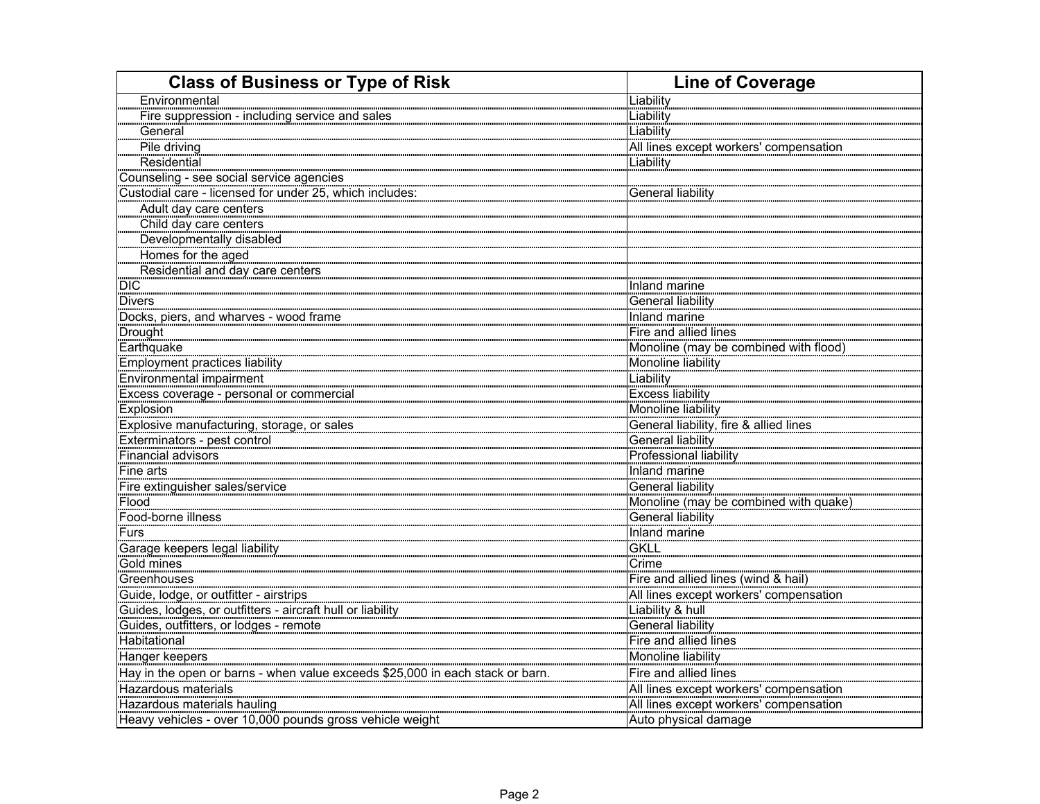| <b>Class of Business or Type of Risk</b>                                      | <b>Line of Coverage</b>                |
|-------------------------------------------------------------------------------|----------------------------------------|
| Environmental                                                                 | Liability                              |
| Fire suppression - including service and sales                                | Liability                              |
| General                                                                       | <b>Liability</b>                       |
| Pile driving                                                                  | All lines except workers' compensation |
| Residential                                                                   | Liability                              |
| Counseling - see social service agencies                                      |                                        |
| Custodial care - licensed for under 25, which includes:                       | <b>General liability</b>               |
| Adult day care centers                                                        |                                        |
| Child day care centers                                                        |                                        |
| Developmentally disabled                                                      |                                        |
| Homes for the aged                                                            |                                        |
| Residential and day care centers                                              |                                        |
| DIC <sup>-</sup>                                                              | Inland marine                          |
| Divers                                                                        | General liability                      |
| Divers<br>Docks, piers, and wharves - wood frame                              | Inland marine                          |
| Drought                                                                       | Fire and allied lines                  |
| Earthquake                                                                    | Monoline (may be combined with flood)  |
| Employment practices liability                                                | Monoline liability                     |
| Environmental impairment                                                      | Liability                              |
| Excess coverage - personal or commercial                                      | <b>Excess liability</b>                |
| <b>Explosion</b>                                                              | Monoline liability                     |
| Explosive manufacturing, storage, or sales                                    | General liability, fire & allied lines |
| Exterminators - pest control                                                  | <b>General liability</b>               |
| Financial advisors                                                            | <b>Professional liability</b>          |
| Fine arts                                                                     | Inland marine                          |
| Fire extinguisher sales/service                                               | General liability                      |
| Flood                                                                         | Monoline (may be combined with quake)  |
| Food-borne illness                                                            | General liability                      |
| <b>Furs</b>                                                                   | Inland marine                          |
| Garage keepers legal liability                                                | <b>GKLL</b>                            |
| Gold mines                                                                    | Crime                                  |
| Greenhouses                                                                   | Fire and allied lines (wind & hail)    |
| Guide, lodge, or outfitter - airstrips                                        | All lines except workers' compensation |
| Guides, lodges, or outfitters - aircraft hull or liability                    | Liability & hull                       |
| Guides, outfitters, or lodges - remote                                        | General liability                      |
| Habitational                                                                  | Fire and allied lines                  |
| Hanger keepers                                                                | Monoline liability                     |
| Hay in the open or barns - when value exceeds \$25,000 in each stack or barn. | Fire and allied lines                  |
| Hazardous materials                                                           | All lines except workers' compensation |
| Hazardous materials hauling                                                   | All lines except workers' compensation |
| Heavy vehicles - over 10,000 pounds gross vehicle weight                      | Auto physical damage                   |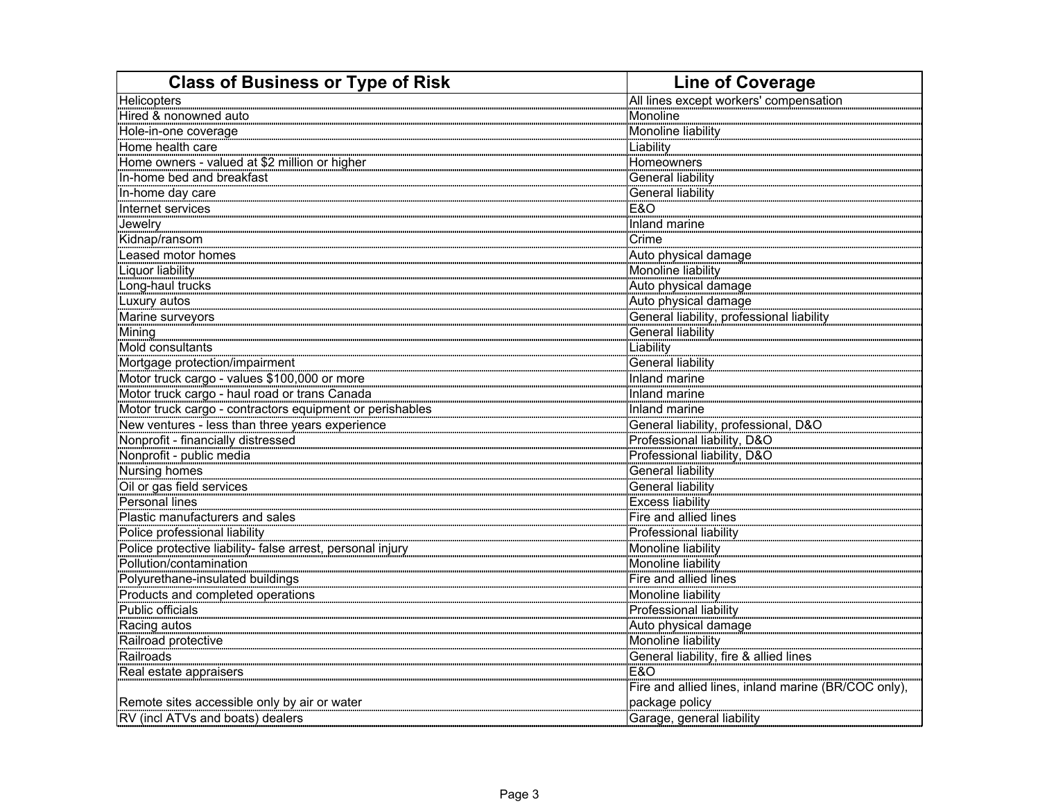| <b>Class of Business or Type of Risk</b>                   | <b>Line of Coverage</b>                             |
|------------------------------------------------------------|-----------------------------------------------------|
| Helicopters                                                | All lines except workers' compensation              |
| Hired & nonowned auto                                      | Monoline                                            |
| Hole-in-one coverage                                       | Monoline liability                                  |
| Home health care                                           | Liability                                           |
| Home owners - valued at \$2 million or higher              | Homeowners                                          |
| In-home bed and breakfast                                  | General liability                                   |
| In-home day care                                           | <b>General liability</b>                            |
| Internet services                                          | E&O                                                 |
| Jewelry                                                    | Inland marine                                       |
| Kidnap/ransom                                              | Crime                                               |
| Leased motor homes                                         | Auto physical damage                                |
| Liquor liability                                           | Monoline liability                                  |
| Long-haul trucks                                           | Auto physical damage                                |
| Luxury autos                                               | Auto physical damage                                |
| Marine surveyors                                           | General liability, professional liability           |
| Mining                                                     | General liability                                   |
| Mold consultants                                           | Liability                                           |
| Mortgage protection/impairment                             | General liability                                   |
| Motor truck cargo - values \$100,000 or more               | Inland marine                                       |
| Motor truck cargo - haul road or trans Canada              | Inland marine                                       |
| Motor truck cargo - contractors equipment or perishables   | Inland marine                                       |
| New ventures - less than three years experience            | General liability, professional, D&O                |
| Nonprofit - financially distressed                         | Professional liability, D&O                         |
| Nonprofit - public media                                   | Professional liability, D&O                         |
| Nursing homes                                              | <b>General liability</b>                            |
| Oil or gas field services                                  | <b>General liability</b>                            |
| Personal lines                                             | <b>Excess liability</b>                             |
| Plastic manufacturers and sales                            | Fire and allied lines                               |
| Police professional liability                              | Professional liability                              |
| Police protective liability- false arrest, personal injury | Monoline liability                                  |
| Pollution/contamination                                    | Monoline liability                                  |
| Polyurethane-insulated buildings                           | Fire and allied lines                               |
| Products and completed operations                          | Monoline liability                                  |
| Public officials                                           | Professional liability                              |
| Racing autos                                               | Auto physical damage                                |
| Railroad protective                                        | Monoline liability                                  |
| Railroads                                                  | General liability, fire & allied lines              |
| Real estate appraisers                                     | E&O                                                 |
|                                                            | Fire and allied lines, inland marine (BR/COC only), |
| Remote sites accessible only by air or water               | package policy                                      |
| RV (incl ATVs and boats) dealers                           | Garage, general liability                           |